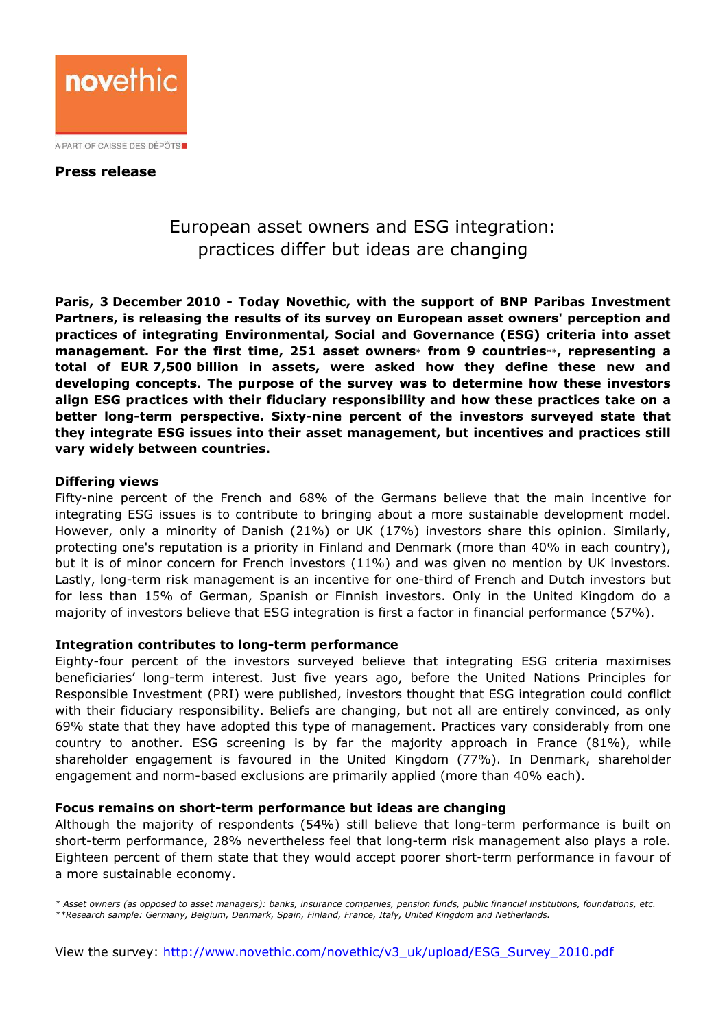

## Press release

# European asset owners and ESG integration: practices differ but ideas are changing

Paris, 3 December 2010 - Today Novethic, with the support of BNP Paribas Investment Partners, is releasing the results of its survey on European asset owners' perception and practices of integrating Environmental, Social and Governance (ESG) criteria into asset management. For the first time, 251 asset owners\* from 9 countries\*\*, representing a total of EUR 7,500 billion in assets, were asked how they define these new and developing concepts. The purpose of the survey was to determine how these investors align ESG practices with their fiduciary responsibility and how these practices take on a better long-term perspective. Sixty-nine percent of the investors surveyed state that they integrate ESG issues into their asset management, but incentives and practices still vary widely between countries.

### Differing views

Fifty-nine percent of the French and 68% of the Germans believe that the main incentive for integrating ESG issues is to contribute to bringing about a more sustainable development model. However, only a minority of Danish (21%) or UK (17%) investors share this opinion. Similarly, protecting one's reputation is a priority in Finland and Denmark (more than 40% in each country), but it is of minor concern for French investors (11%) and was given no mention by UK investors. Lastly, long-term risk management is an incentive for one-third of French and Dutch investors but for less than 15% of German, Spanish or Finnish investors. Only in the United Kingdom do a majority of investors believe that ESG integration is first a factor in financial performance (57%).

### Integration contributes to long-term performance

Eighty-four percent of the investors surveyed believe that integrating ESG criteria maximises beneficiaries' long-term interest. Just five years ago, before the United Nations Principles for Responsible Investment (PRI) were published, investors thought that ESG integration could conflict with their fiduciary responsibility. Beliefs are changing, but not all are entirely convinced, as only 69% state that they have adopted this type of management. Practices vary considerably from one country to another. ESG screening is by far the majority approach in France (81%), while shareholder engagement is favoured in the United Kingdom (77%). In Denmark, shareholder engagement and norm-based exclusions are primarily applied (more than 40% each).

#### Focus remains on short-term performance but ideas are changing

Although the majority of respondents (54%) still believe that long-term performance is built on short-term performance, 28% nevertheless feel that long-term risk management also plays a role. Eighteen percent of them state that they would accept poorer short-term performance in favour of a more sustainable economy.

\* Asset owners (as opposed to asset managers): banks, insurance companies, pension funds, public financial institutions, foundations, etc. \*\*Research sample: Germany, Belgium, Denmark, Spain, Finland, France, Italy, United Kingdom and Netherlands.